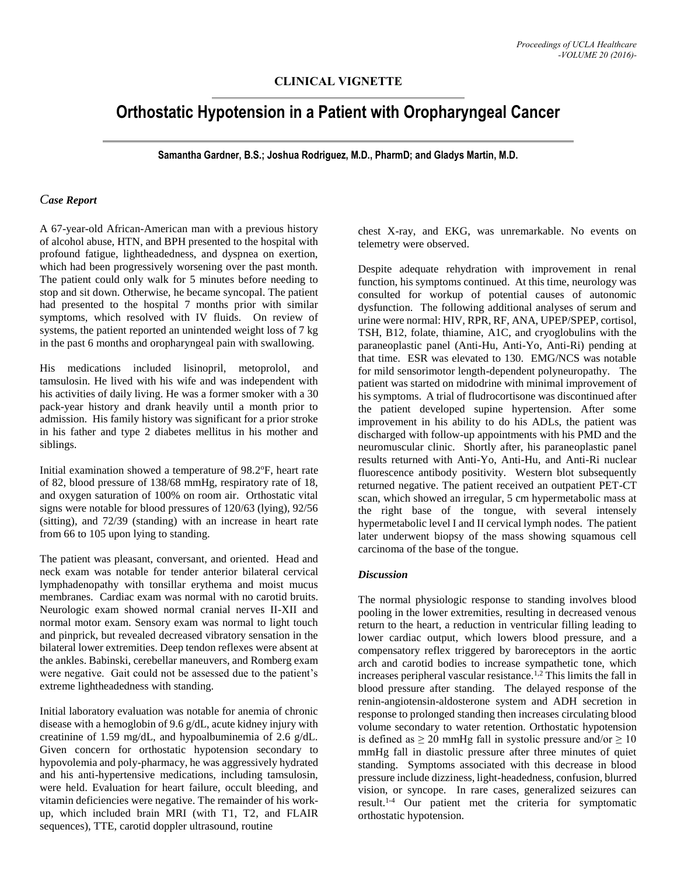## **CLINICAL VIGNETTE**

# **Orthostatic Hypotension in a Patient with Oropharyngeal Cancer**

**Samantha Gardner, B.S.; Joshua Rodriguez, M.D., PharmD; and Gladys Martin, M.D.**

#### *Case Report*

A 67-year-old African-American man with a previous history of alcohol abuse, HTN, and BPH presented to the hospital with profound fatigue, lightheadedness, and dyspnea on exertion, which had been progressively worsening over the past month. The patient could only walk for 5 minutes before needing to stop and sit down. Otherwise, he became syncopal. The patient had presented to the hospital 7 months prior with similar symptoms, which resolved with IV fluids. On review of systems, the patient reported an unintended weight loss of 7 kg in the past 6 months and oropharyngeal pain with swallowing.

His medications included lisinopril, metoprolol, and tamsulosin. He lived with his wife and was independent with his activities of daily living. He was a former smoker with a 30 pack-year history and drank heavily until a month prior to admission. His family history was significant for a prior stroke in his father and type 2 diabetes mellitus in his mother and siblings.

Initial examination showed a temperature of 98.2°F, heart rate of 82, blood pressure of 138/68 mmHg, respiratory rate of 18, and oxygen saturation of 100% on room air. Orthostatic vital signs were notable for blood pressures of 120/63 (lying), 92/56 (sitting), and 72/39 (standing) with an increase in heart rate from 66 to 105 upon lying to standing.

The patient was pleasant, conversant, and oriented. Head and neck exam was notable for tender anterior bilateral cervical lymphadenopathy with tonsillar erythema and moist mucus membranes. Cardiac exam was normal with no carotid bruits. Neurologic exam showed normal cranial nerves II-XII and normal motor exam. Sensory exam was normal to light touch and pinprick, but revealed decreased vibratory sensation in the bilateral lower extremities. Deep tendon reflexes were absent at the ankles. Babinski, cerebellar maneuvers, and Romberg exam were negative. Gait could not be assessed due to the patient's extreme lightheadedness with standing.

Initial laboratory evaluation was notable for anemia of chronic disease with a hemoglobin of 9.6 g/dL, acute kidney injury with creatinine of 1.59 mg/dL, and hypoalbuminemia of 2.6 g/dL. Given concern for orthostatic hypotension secondary to hypovolemia and poly-pharmacy, he was aggressively hydrated and his anti-hypertensive medications, including tamsulosin, were held. Evaluation for heart failure, occult bleeding, and vitamin deficiencies were negative. The remainder of his workup, which included brain MRI (with T1, T2, and FLAIR sequences), TTE, carotid doppler ultrasound, routine

chest X-ray, and EKG, was unremarkable. No events on telemetry were observed.

Despite adequate rehydration with improvement in renal function, his symptoms continued. At this time, neurology was consulted for workup of potential causes of autonomic dysfunction. The following additional analyses of serum and urine were normal: HIV, RPR, RF, ANA, UPEP/SPEP, cortisol, TSH, B12, folate, thiamine, A1C, and cryoglobulins with the paraneoplastic panel (Anti-Hu, Anti-Yo, Anti-Ri) pending at that time. ESR was elevated to 130. EMG/NCS was notable for mild sensorimotor length-dependent polyneuropathy. The patient was started on midodrine with minimal improvement of his symptoms. A trial of fludrocortisone was discontinued after the patient developed supine hypertension. After some improvement in his ability to do his ADLs, the patient was discharged with follow-up appointments with his PMD and the neuromuscular clinic. Shortly after, his paraneoplastic panel results returned with Anti-Yo, Anti-Hu, and Anti-Ri nuclear fluorescence antibody positivity. Western blot subsequently returned negative. The patient received an outpatient PET-CT scan, which showed an irregular, 5 cm hypermetabolic mass at the right base of the tongue, with several intensely hypermetabolic level I and II cervical lymph nodes. The patient later underwent biopsy of the mass showing squamous cell carcinoma of the base of the tongue.

### *Discussion*

The normal physiologic response to standing involves blood pooling in the lower extremities, resulting in decreased venous return to the heart, a reduction in ventricular filling leading to lower cardiac output, which lowers blood pressure, and a compensatory reflex triggered by baroreceptors in the aortic arch and carotid bodies to increase sympathetic tone, which increases peripheral vascular resistance.<sup>1,2</sup> This limits the fall in blood pressure after standing. The delayed response of the renin-angiotensin-aldosterone system and ADH secretion in response to prolonged standing then increases circulating blood volume secondary to water retention. Orthostatic hypotension is defined as  $\geq 20$  mmHg fall in systolic pressure and/or  $\geq 10$ mmHg fall in diastolic pressure after three minutes of quiet standing. Symptoms associated with this decrease in blood pressure include dizziness, light-headedness, confusion, blurred vision, or syncope. In rare cases, generalized seizures can result.1-4 Our patient met the criteria for symptomatic orthostatic hypotension.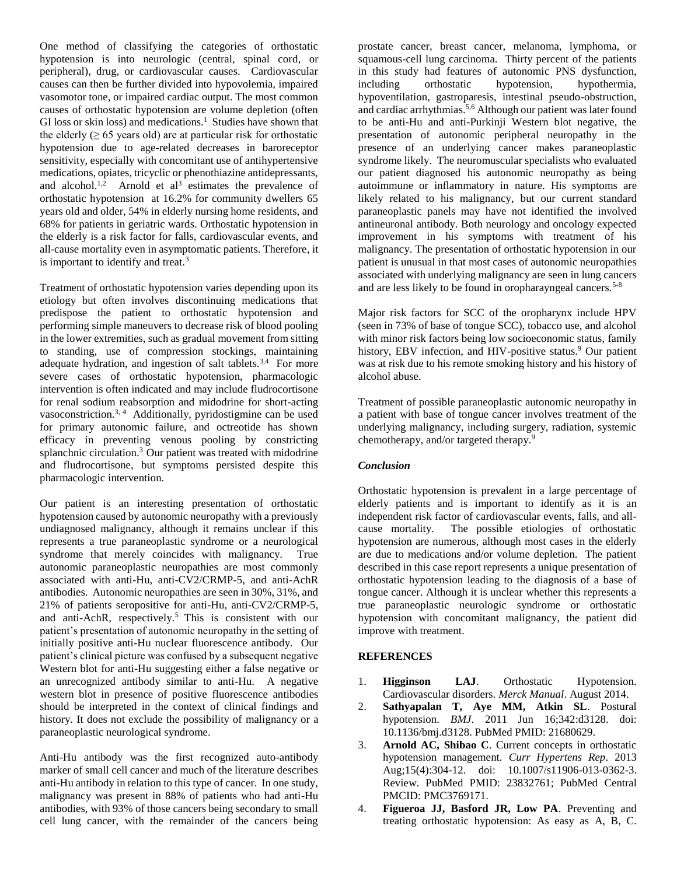One method of classifying the categories of orthostatic hypotension is into neurologic (central, spinal cord, or peripheral), drug, or cardiovascular causes. Cardiovascular causes can then be further divided into hypovolemia, impaired vasomotor tone, or impaired cardiac output. The most common causes of orthostatic hypotension are volume depletion (often GI loss or skin loss) and medications.<sup>1</sup> Studies have shown that the elderly ( $\geq 65$  years old) are at particular risk for orthostatic hypotension due to age-related decreases in baroreceptor sensitivity, especially with concomitant use of antihypertensive medications, opiates, tricyclic or phenothiazine antidepressants, and alcohol.<sup>1,2</sup> Arnold et al<sup>3</sup> estimates the prevalence of orthostatic hypotension at 16.2% for community dwellers 65 years old and older, 54% in elderly nursing home residents, and 68% for patients in geriatric wards. Orthostatic hypotension in the elderly is a risk factor for falls, cardiovascular events, and all-cause mortality even in asymptomatic patients. Therefore, it is important to identify and treat.<sup>3</sup>

Treatment of orthostatic hypotension varies depending upon its etiology but often involves discontinuing medications that predispose the patient to orthostatic hypotension and performing simple maneuvers to decrease risk of blood pooling in the lower extremities, such as gradual movement from sitting to standing, use of compression stockings, maintaining adequate hydration, and ingestion of salt tablets.<sup>3,4</sup> For more severe cases of orthostatic hypotension, pharmacologic intervention is often indicated and may include fludrocortisone for renal sodium reabsorption and midodrine for short-acting vasoconstriction.<sup>3, 4</sup> Additionally, pyridostigmine can be used for primary autonomic failure, and octreotide has shown efficacy in preventing venous pooling by constricting splanchnic circulation.<sup>3</sup> Our patient was treated with midodrine and fludrocortisone, but symptoms persisted despite this pharmacologic intervention.

Our patient is an interesting presentation of orthostatic hypotension caused by autonomic neuropathy with a previously undiagnosed malignancy, although it remains unclear if this represents a true paraneoplastic syndrome or a neurological syndrome that merely coincides with malignancy. True autonomic paraneoplastic neuropathies are most commonly associated with anti-Hu, anti-CV2/CRMP-5, and anti-AchR antibodies. Autonomic neuropathies are seen in 30%, 31%, and 21% of patients seropositive for anti-Hu, anti-CV2/CRMP-5, and anti-AchR, respectively.<sup>5</sup> This is consistent with our patient's presentation of autonomic neuropathy in the setting of initially positive anti-Hu nuclear fluorescence antibody. Our patient's clinical picture was confused by a subsequent negative Western blot for anti-Hu suggesting either a false negative or an unrecognized antibody similar to anti-Hu. A negative western blot in presence of positive fluorescence antibodies should be interpreted in the context of clinical findings and history. It does not exclude the possibility of malignancy or a paraneoplastic neurological syndrome.

Anti-Hu antibody was the first recognized auto-antibody marker of small cell cancer and much of the literature describes anti-Hu antibody in relation to this type of cancer. In one study, malignancy was present in 88% of patients who had anti-Hu antibodies, with 93% of those cancers being secondary to small cell lung cancer, with the remainder of the cancers being

prostate cancer, breast cancer, melanoma, lymphoma, or squamous-cell lung carcinoma. Thirty percent of the patients in this study had features of autonomic PNS dysfunction, including orthostatic hypotension, hypothermia, hypoventilation, gastroparesis, intestinal pseudo-obstruction, and cardiac arrhythmias.<sup>5,6</sup> Although our patient was later found to be anti-Hu and anti-Purkinji Western blot negative, the presentation of autonomic peripheral neuropathy in the presence of an underlying cancer makes paraneoplastic syndrome likely. The neuromuscular specialists who evaluated our patient diagnosed his autonomic neuropathy as being autoimmune or inflammatory in nature. His symptoms are likely related to his malignancy, but our current standard paraneoplastic panels may have not identified the involved antineuronal antibody. Both neurology and oncology expected improvement in his symptoms with treatment of his malignancy. The presentation of orthostatic hypotension in our patient is unusual in that most cases of autonomic neuropathies associated with underlying malignancy are seen in lung cancers and are less likely to be found in oropharayngeal cancers.<sup>5-8</sup>

Major risk factors for SCC of the oropharynx include HPV (seen in 73% of base of tongue SCC), tobacco use, and alcohol with minor risk factors being low socioeconomic status, family history, EBV infection, and HIV-positive status.<sup>9</sup> Our patient was at risk due to his remote smoking history and his history of alcohol abuse.

Treatment of possible paraneoplastic autonomic neuropathy in a patient with base of tongue cancer involves treatment of the underlying malignancy, including surgery, radiation, systemic chemotherapy, and/or targeted therapy.<sup>9</sup>

## *Conclusion*

Orthostatic hypotension is prevalent in a large percentage of elderly patients and is important to identify as it is an independent risk factor of cardiovascular events, falls, and allcause mortality. The possible etiologies of orthostatic hypotension are numerous, although most cases in the elderly are due to medications and/or volume depletion. The patient described in this case report represents a unique presentation of orthostatic hypotension leading to the diagnosis of a base of tongue cancer. Although it is unclear whether this represents a true paraneoplastic neurologic syndrome or orthostatic hypotension with concomitant malignancy, the patient did improve with treatment.

### **REFERENCES**

- 1. **Higginson LAJ**. Orthostatic Hypotension. Cardiovascular disorders. *Merck Manual*. August 2014.
- 2. **Sathyapalan T, Aye MM, Atkin SL**. Postural hypotension. *BMJ*. 2011 Jun 16;342:d3128. doi: 10.1136/bmj.d3128. PubMed PMID: 21680629.
- 3. **Arnold AC, Shibao C**. Current concepts in orthostatic hypotension management. *Curr Hypertens Rep*. 2013 Aug;15(4):304-12. doi: 10.1007/s11906-013-0362-3. Review. PubMed PMID: 23832761; PubMed Central PMCID: PMC3769171.
- 4. **Figueroa JJ, Basford JR, Low PA**. Preventing and treating orthostatic hypotension: As easy as A, B, C.